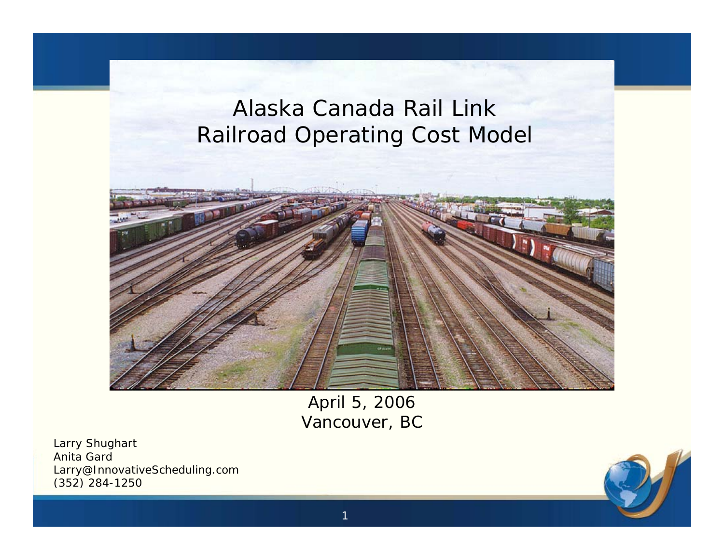## Alaska Canada Rail LinkRailroad Operating Cost Model



April 5, 2006 Vancouver, BC

Larry Shughart Anita Gard Larry@InnovativeScheduling.com (352) 284-1250

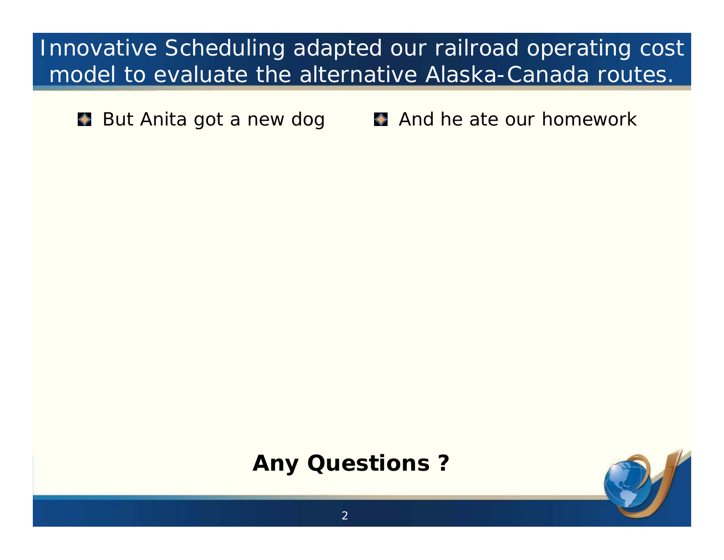Innovative Scheduling adapted our railroad operating cost model to evaluate the alternative Alaska-Canada routes.

**But Anita got a new dog** And he ate our homework

## **Any Questions ?**

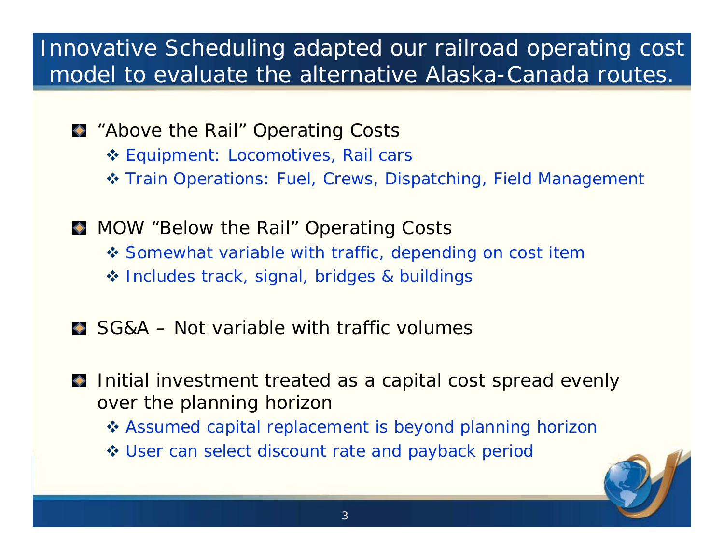## Innovative Scheduling adapted our railroad operating cost model to evaluate the alternative Alaska-Canada routes.

- **A** "Above the Rail" Operating Costs
	- Equipment: Locomotives, Rail cars
	- ◆ Train Operations: Fuel, Crews, Dispatching, Field Management
- **MOW** "Below the Rail" Operating Costs
	- ◆ Somewhat variable with traffic, depending on cost item
	- ❖ Includes track, signal, bridges & buildings
- SG&A Not variable with traffic volumes
- Initial investment treated as a capital cost spread evenly  $\blacklozenge$ over the planning horizon
	- ❖ Assumed capital replacement is beyond planning horizon
	- User can select discount rate and payback period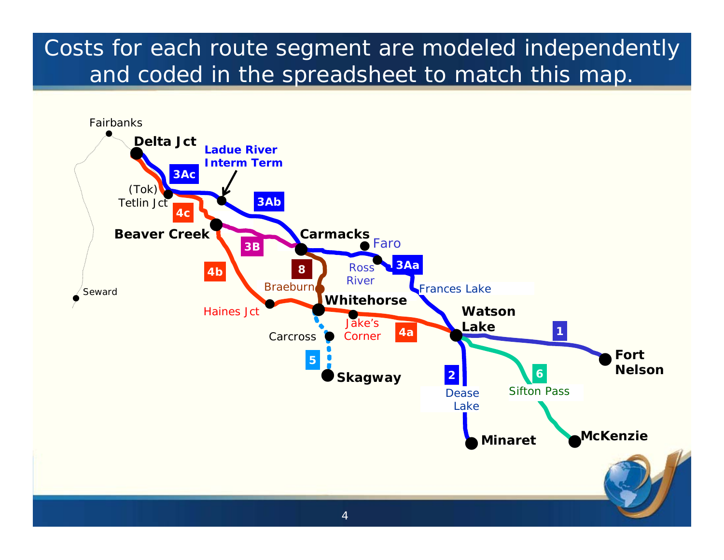## Costs for each route segment are modeled independently and coded in the spreadsheet to match this map.

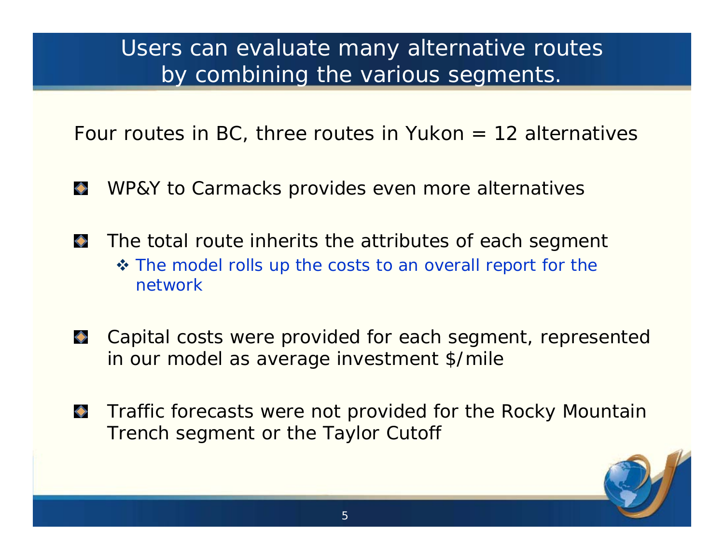Users can evaluate many alternative routes by combining the various segments.

Four routes in BC, three routes in Yukon  $= 12$  alternatives

- $\leftrightarrow$ WP&Y to Carmacks provides even more alternatives
- $\Diamond$ The total route inherits the attributes of each segment ❖ The model rolls up the costs to an overall report for the network
- Capital costs were provided for each segment, represented  $\Diamond$ in our model as average investment \$/mile
- $\Diamond$ Traffic forecasts were not provided for the Rocky Mountain Trench segment or the Taylor Cutoff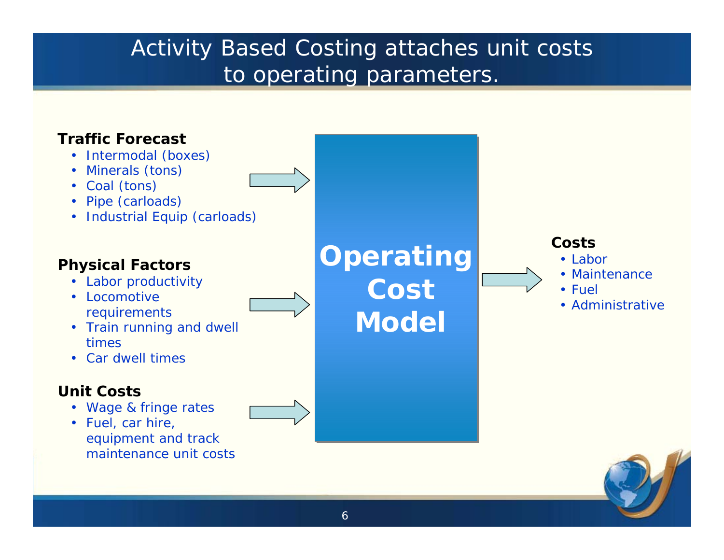## Activity Based Costing attaches unit costs to operating parameters.

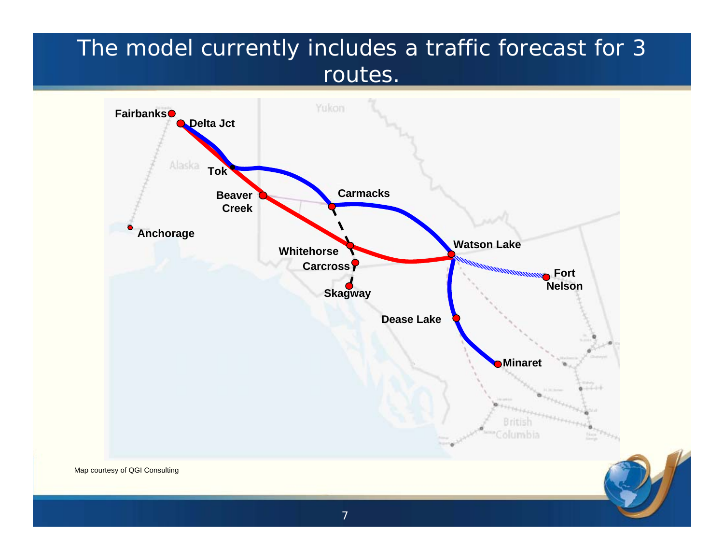## The model currently includes a traffic forecast for 3 routes.

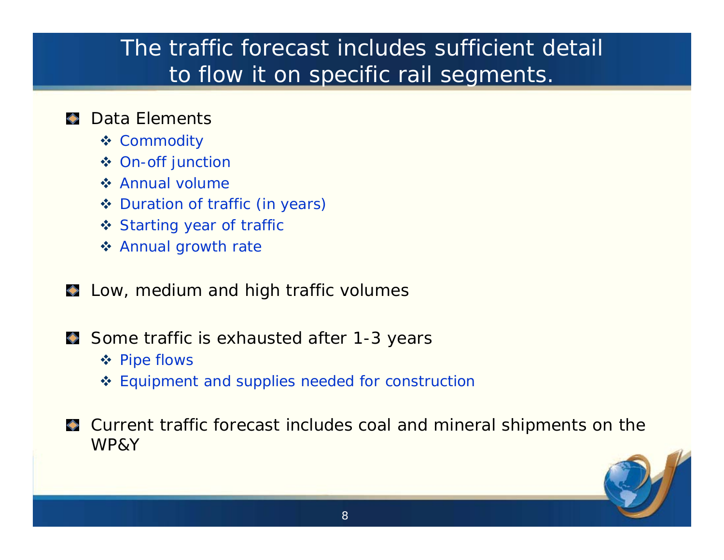## The traffic forecast includes sufficient detail to flow it on specific rail segments.

#### Data Elements

- ❖ Commodity
- On-off junction
- **❖ Annual volume**
- ◆ Duration of traffic (in years)
- Starting year of traffic
- Annual growth rate
- $\bullet$  Low, medium and high traffic volumes
- Some traffic is exhausted after 1-3 years
	- ❖ Pipe flows
	- ❖ Equipment and supplies needed for construction
- Current traffic forecast includes coal and mineral shipments on the WP&Y

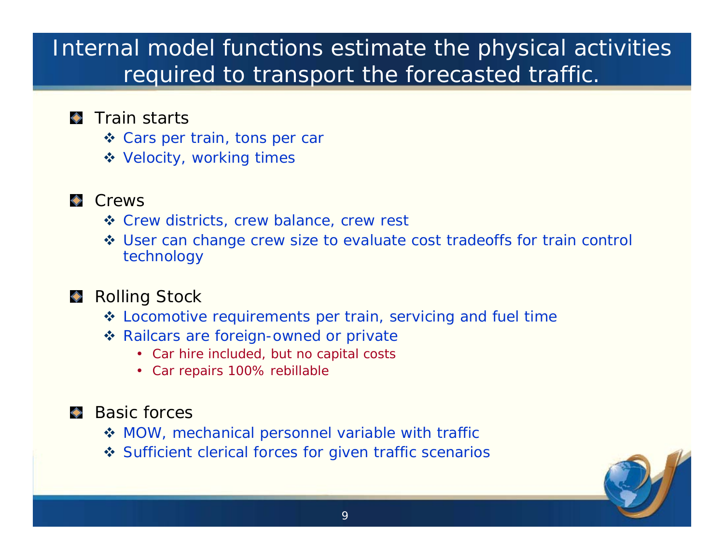## Internal model functions estimate the physical activities required to transport the forecasted traffic.

#### **Train starts**

- ◆ Cars per train, tons per car
- Velocity, working times

#### **Crews**

- ❖ Crew districts, crew balance, crew rest
- ◆ User can change crew size to evaluate cost tradeoffs for train control technology

#### ◆ Rolling Stock

- Locomotive requirements per train, servicing and fuel time
- ❖ Railcars are foreign-owned or private
	- Car hire included, but no capital costs
	- Car repairs 100% rebillable

#### ◆ Basic forces

- MOW, mechanical personnel variable with traffic
- ❖ Sufficient clerical forces for given traffic scenarios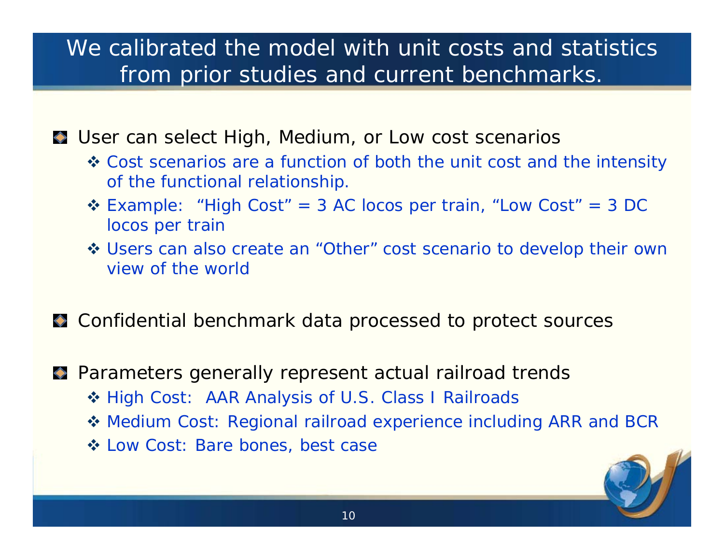## We calibrated the model with unit costs and statistics from prior studies and current benchmarks.

User can select High, Medium, or Low cost scenarios

- Cost scenarios are a function of both the unit cost and the intensity of the functional relationship.
- Example: "High Cost" = 3 AC locos per train, "Low Cost" = 3 DC locos per train
- Users can also create an "Other" cost scenario to develop their own view of the world
- Confidential benchmark data processed to protect sources

Parameters generally represent actual railroad trends

- ◆ High Cost: AAR Analysis of U.S. Class I Railroads
- Medium Cost: Regional railroad experience including ARR and BCR
- Low Cost: Bare bones, best case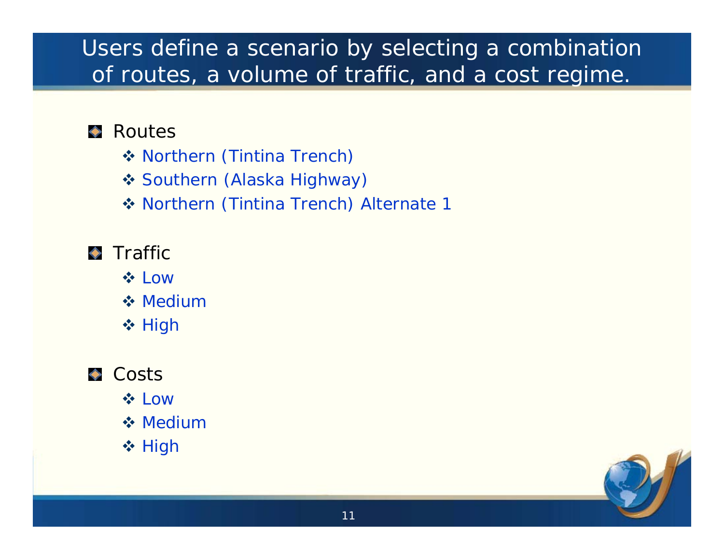## Users define a scenario by selecting a combination of routes, a volume of traffic, and a cost regime.

#### ◆ Routes

- ◆ Northern (Tintina Trench)
- ◆ Southern (Alaska Highway)
- ◆ Northern (Tintina Trench) Alternate 1

#### $\blacktriangleright$  Traffic

- **☆ Low**
- **❖ Medium**
- ❖ High

#### **Costs**

- **☆ Low**
- **❖ Medium**
- ❖ High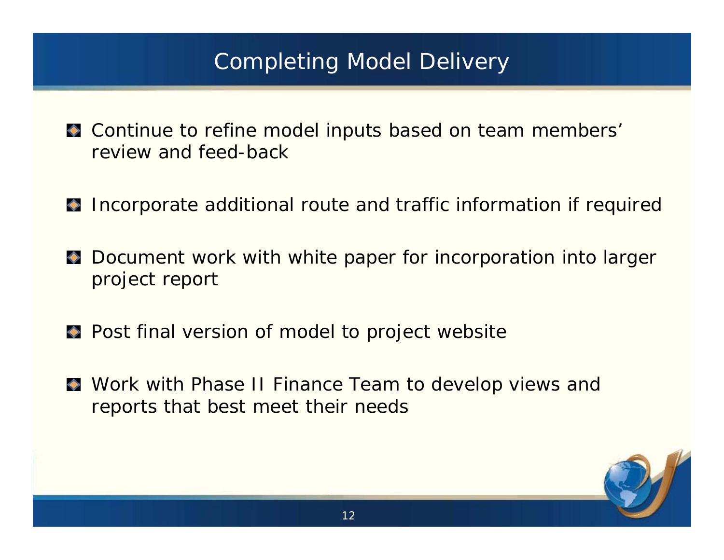## Completing Model Delivery

- $\bullet$  Continue to refine model inputs based on team members' review and feed-back
- Incorporate additional route and traffic information if required
- **Document work with white paper for incorporation into larger** project report
- **Post final version of model to project website**
- Work with Phase II Finance Team to develop views and reports that best meet their needs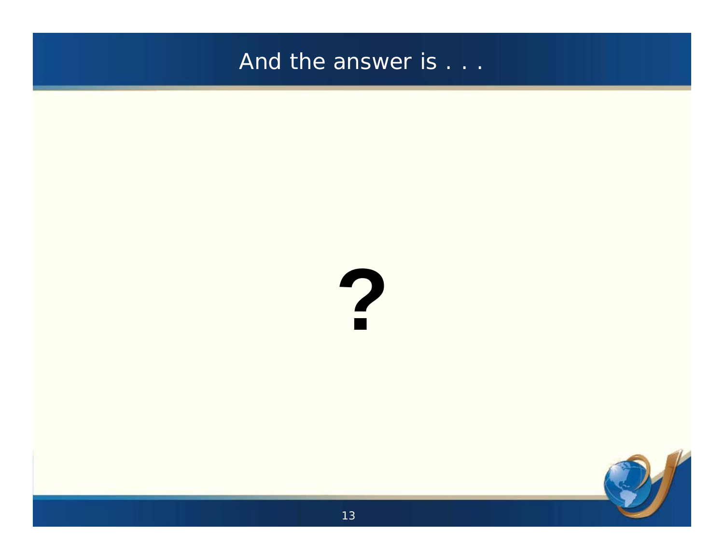#### And the answer is . . .



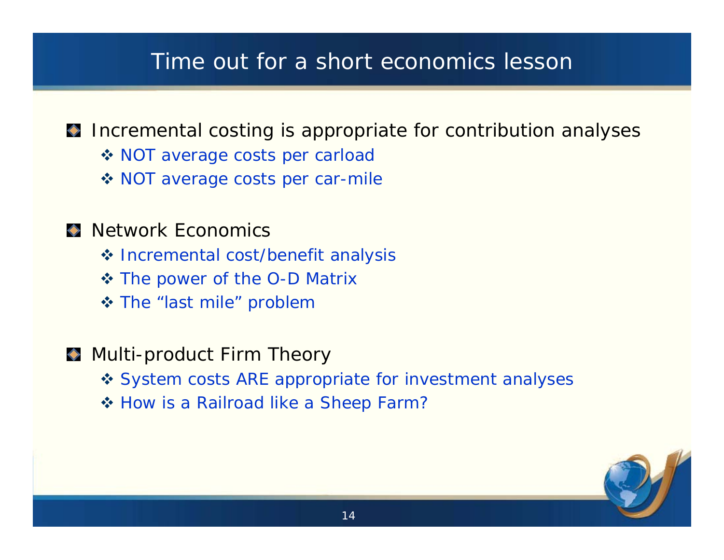### Time out for a short economics lesson

#### Incremental costing is appropriate for contribution analyses

- ◆ NOT average costs per carload
- ◆ NOT average costs per car-mile

#### **Network Economics**

- ❖ Incremental cost/benefit analysis
- The power of the O-D Matrix
- The "last mile" problem
- **Multi-product Firm Theory** 
	- ❖ System costs ARE appropriate for investment analyses
	- ❖ How is a Railroad like a Sheep Farm?

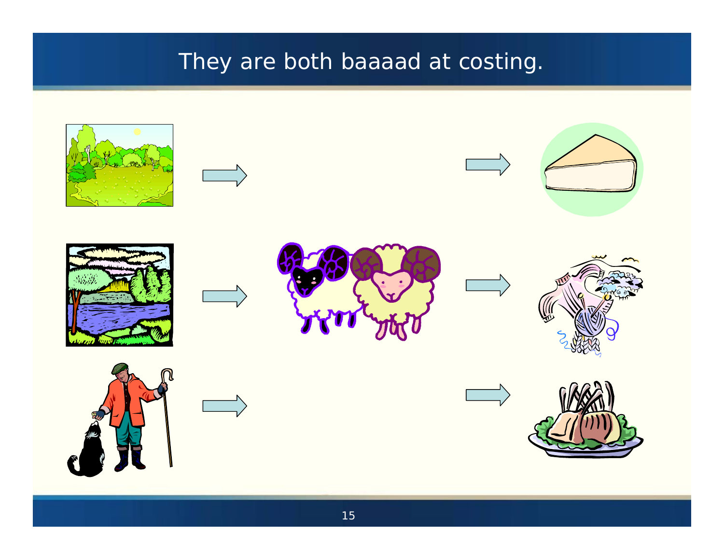## They are both baaaad at costing.

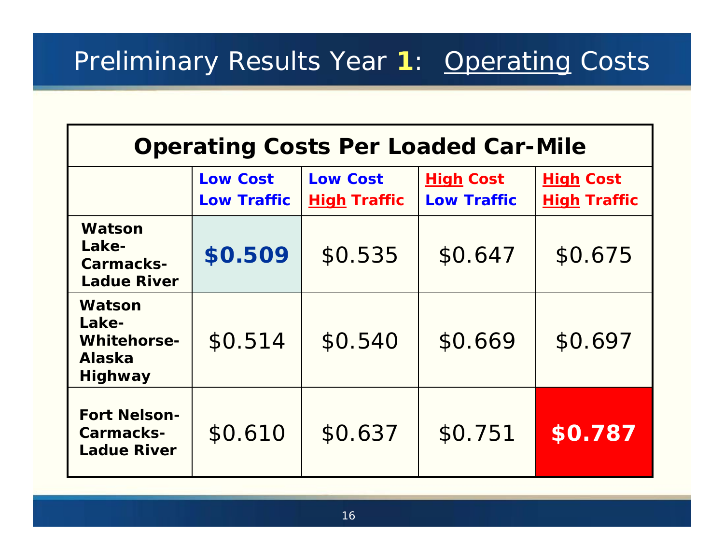| <b>Operating Costs Per Loaded Car-Mile</b>                               |                                       |                                        |                                        |                                         |
|--------------------------------------------------------------------------|---------------------------------------|----------------------------------------|----------------------------------------|-----------------------------------------|
|                                                                          | <b>Low Cost</b><br><b>Low Traffic</b> | <b>Low Cost</b><br><b>High Traffic</b> | <b>High Cost</b><br><b>Low Traffic</b> | <b>High Cost</b><br><b>High Traffic</b> |
| Watson<br>Lake-<br>Carmacks-<br><b>Ladue River</b>                       | \$0.509                               | \$0.535                                | \$0.647                                | \$0.675                                 |
| Watson<br>Lake-<br><b>Whitehorse-</b><br><b>Alaska</b><br><b>Highway</b> | \$0.514                               | \$0.540                                | \$0.669                                | \$0.697                                 |
| <b>Fort Nelson-</b><br>Carmacks-<br><b>Ladue River</b>                   | \$0.610                               | \$0.637                                | \$0.751                                | \$0.787                                 |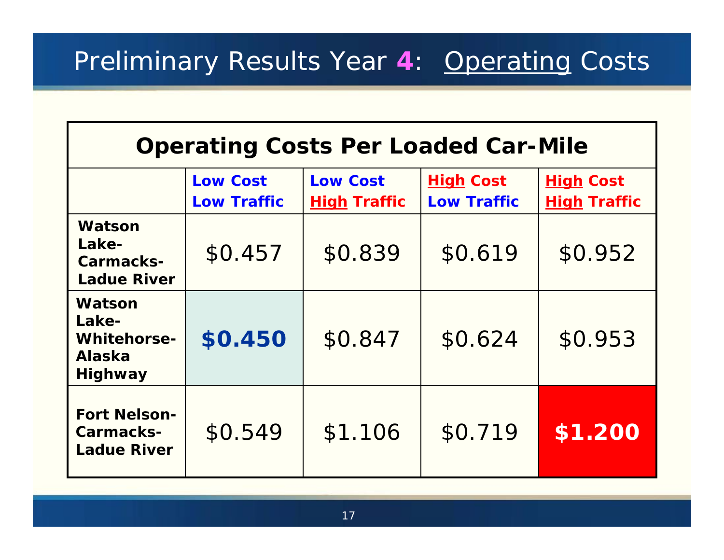| <b>Operating Costs Per Loaded Car-Mile</b>                               |                                       |                                        |                                        |                                         |
|--------------------------------------------------------------------------|---------------------------------------|----------------------------------------|----------------------------------------|-----------------------------------------|
|                                                                          | <b>Low Cost</b><br><b>Low Traffic</b> | <b>Low Cost</b><br><b>High Traffic</b> | <b>High Cost</b><br><b>Low Traffic</b> | <b>High Cost</b><br><b>High Traffic</b> |
| Watson<br>Lake-<br>Carmacks-<br><b>Ladue River</b>                       | \$0.457                               | \$0.839                                | \$0.619                                | \$0.952                                 |
| Watson<br>Lake-<br><b>Whitehorse-</b><br><b>Alaska</b><br><b>Highway</b> | \$0.450                               | \$0.847                                | \$0.624                                | \$0.953                                 |
| <b>Fort Nelson-</b><br>Carmacks-<br><b>Ladue River</b>                   | \$0.549                               | \$1.106                                | \$0.719                                | \$1.200                                 |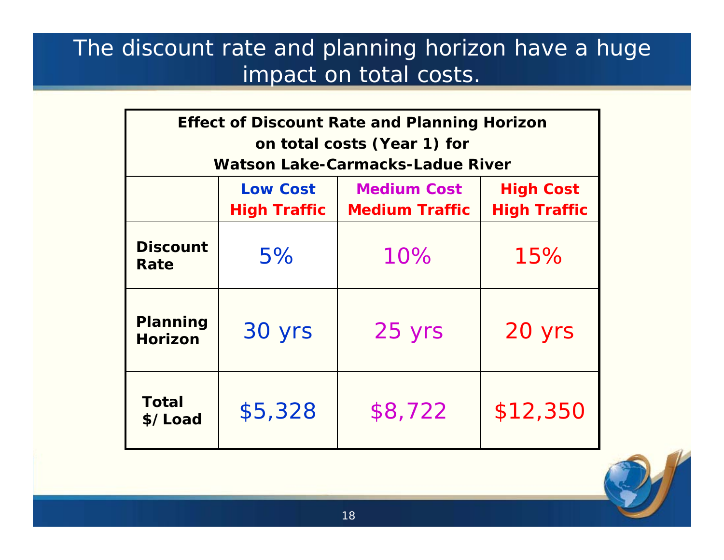## The discount rate and planning horizon have a huge impact on total costs.

| <b>Effect of Discount Rate and Planning Horizon</b> |                                         |                       |                     |  |  |
|-----------------------------------------------------|-----------------------------------------|-----------------------|---------------------|--|--|
| on total costs (Year 1) for                         |                                         |                       |                     |  |  |
|                                                     | <b>Watson Lake-Carmacks-Ladue River</b> |                       |                     |  |  |
|                                                     | <b>Low Cost</b>                         | <b>Medium Cost</b>    | <b>High Cost</b>    |  |  |
|                                                     | <b>High Traffic</b>                     | <b>Medium Traffic</b> | <b>High Traffic</b> |  |  |
| <b>Discount</b><br>Rate                             | 5%                                      | 10%                   | 15%                 |  |  |
| <b>Planning</b><br><b>Horizon</b>                   | 30 yrs                                  | 25 yrs                | 20 yrs              |  |  |
| <b>Total</b><br>\$/Load                             | \$5,328                                 | \$8,722               | \$12,350            |  |  |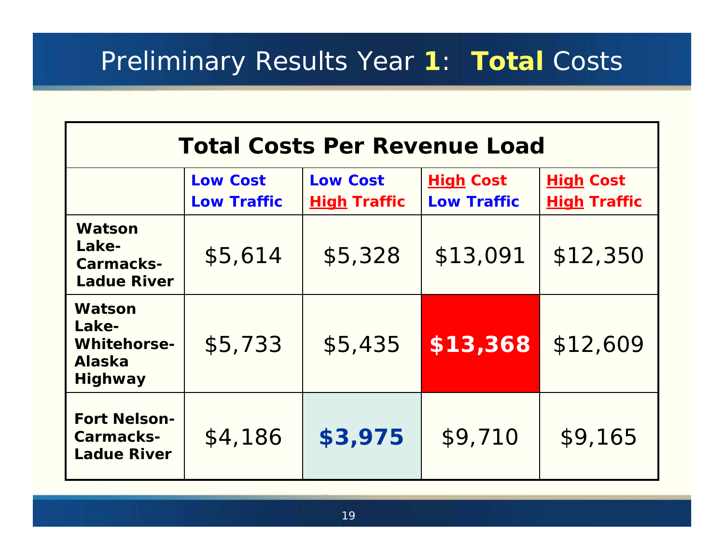Preliminary Results Year **1**: *Total* Costs

| <b>Total Costs Per Revenue Load</b>                                      |                                       |                                        |                                        |                                         |
|--------------------------------------------------------------------------|---------------------------------------|----------------------------------------|----------------------------------------|-----------------------------------------|
|                                                                          | <b>Low Cost</b><br><b>Low Traffic</b> | <b>Low Cost</b><br><b>High Traffic</b> | <b>High Cost</b><br><b>Low Traffic</b> | <b>High Cost</b><br><b>High Traffic</b> |
| Watson<br>Lake-<br>Carmacks-<br><b>Ladue River</b>                       | \$5,614                               | \$5,328                                | \$13,091                               | \$12,350                                |
| Watson<br>Lake-<br><b>Whitehorse-</b><br><b>Alaska</b><br><b>Highway</b> | \$5,733                               | \$5,435                                | \$13,368                               | \$12,609                                |
| <b>Fort Nelson-</b><br>Carmacks-<br><b>Ladue River</b>                   | \$4,186                               | \$3,975                                | \$9,710                                | \$9,165                                 |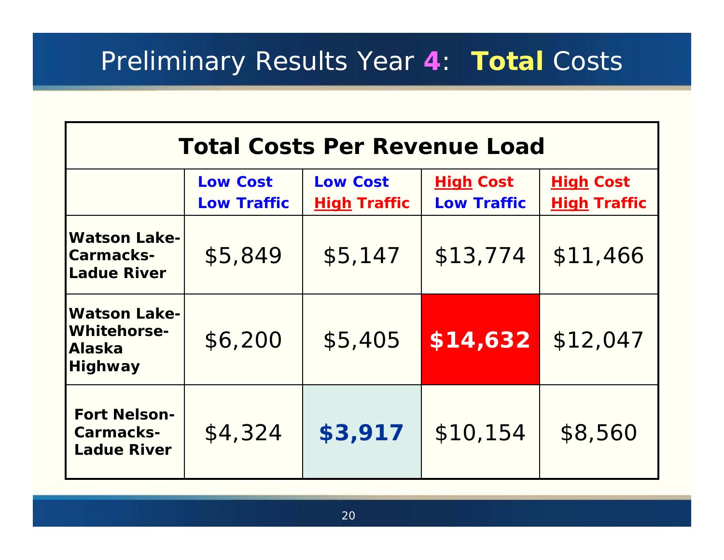## Preliminary Results Year **4**: *Total* Costs

| <b>Total Costs Per Revenue Load</b>                                          |                                       |                                        |                                        |                                         |
|------------------------------------------------------------------------------|---------------------------------------|----------------------------------------|----------------------------------------|-----------------------------------------|
|                                                                              | <b>Low Cost</b><br><b>Low Traffic</b> | <b>Low Cost</b><br><b>High Traffic</b> | <b>High Cost</b><br><b>Low Traffic</b> | <b>High Cost</b><br><b>High Traffic</b> |
| <b>Watson Lake-</b><br><b>Carmacks-</b><br><b>Ladue River</b>                | \$5,849                               | \$5,147                                | \$13,774                               | \$11,466                                |
| <b>Watson Lake-</b><br><b>Whitehorse-</b><br><b>Alaska</b><br><b>Highway</b> | \$6,200                               | \$5,405                                | \$14,632                               | \$12,047                                |
| <b>Fort Nelson-</b><br>Carmacks-<br><b>Ladue River</b>                       | \$4,324                               | \$3,917                                | \$10,154                               | \$8,560                                 |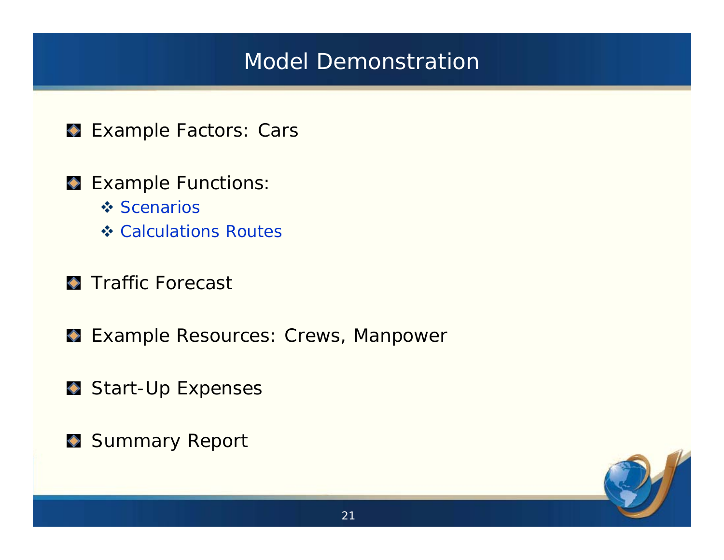## Model Demonstration

- **Example Factors: Cars**
- **Example Functions:** 
	- **❖ Scenarios**
	- **❖ Calculations Routes**
- **Traffic Forecast**
- Example Resources: Crews, Manpower
- Start-Up Expenses
- Summary Report